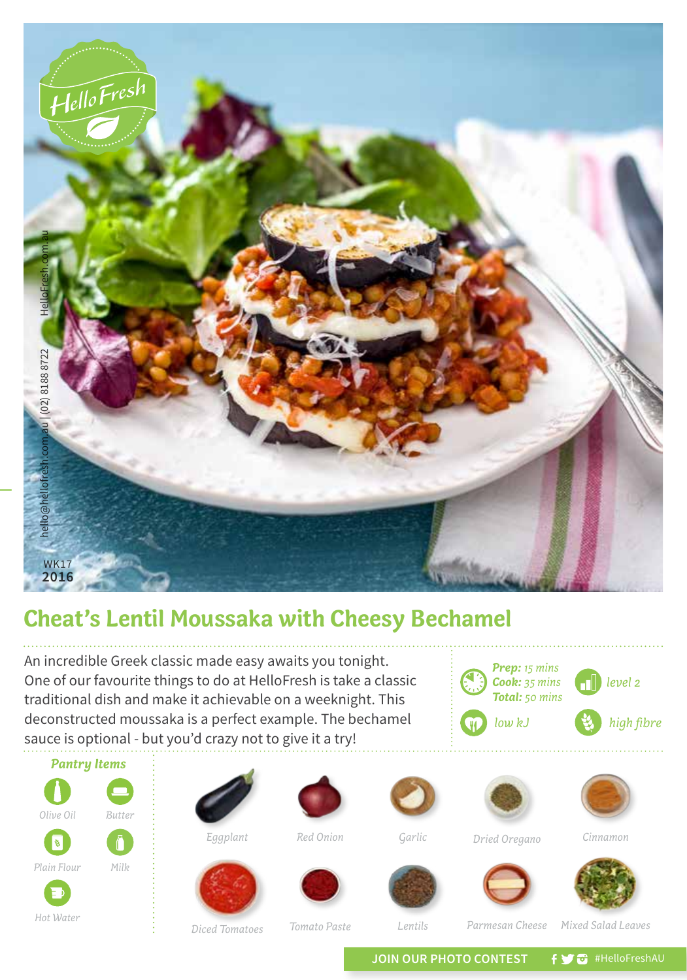

## **Cheat's Lentil Moussaka with Cheesy Bechamel**

An incredible Greek classic made easy awaits you tonight. One of our favourite things to do at HelloFresh is take a classic traditional dish and make it achievable on a weeknight. This deconstructed moussaka is a perfect example. The bechamel sauce is optional - but you'd crazy not to give it a try!





*Red Onion*



*Garlic*







*Dried Oregano*

*Prep: 15 mins Cook: 35 mins Total: 50 mins*



*low kJ high fibre*

*level 2*

*Cinnamon*







*Diced Tomatoes*

*Tomato Paste*

*Lentils Mixed Salad Leaves*

JOIN OUR PHOTO CONTEST **f y a** #HelloFreshAU